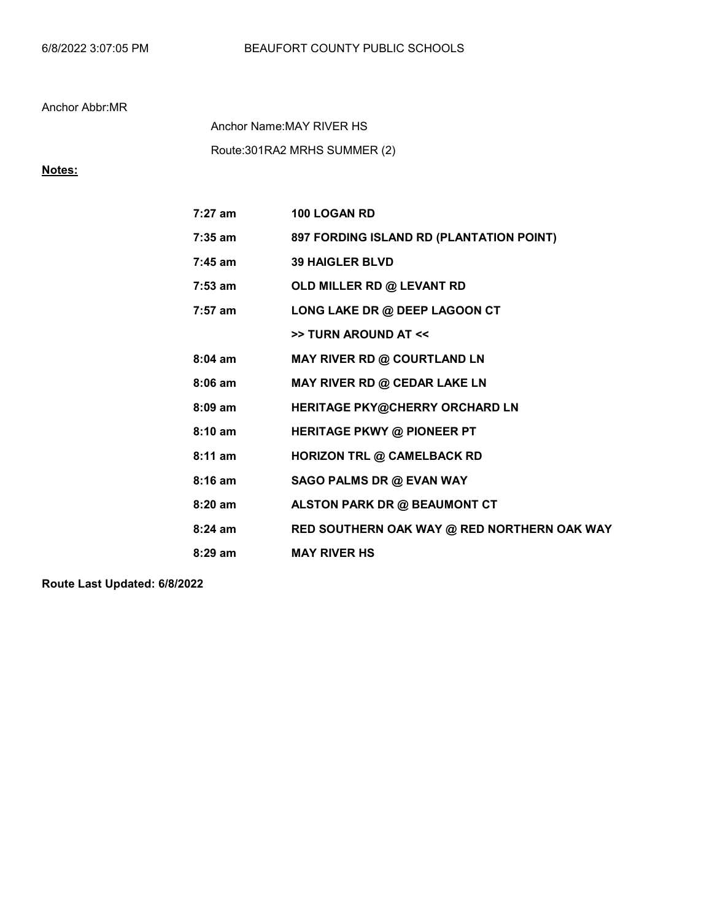Route:301RA2 MRHS SUMMER (2) Anchor Name:MAY RIVER HS

# Notes:

| 7:27 am   | 100 LOGAN RD                                |
|-----------|---------------------------------------------|
| $7:35$ am | 897 FORDING ISLAND RD (PLANTATION POINT)    |
| $7:45$ am | <b>39 HAIGLER BLVD</b>                      |
| $7:53$ am | OLD MILLER RD @ LEVANT RD                   |
| $7:57$ am | LONG LAKE DR @ DEEP LAGOON CT               |
|           | >> TURN AROUND AT <<                        |
| $8:04$ am | MAY RIVER RD @ COURTLAND LN                 |
| $8:06$ am | MAY RIVER RD @ CEDAR LAKE LN                |
| $8:09$ am | HERITAGE PKY@CHERRY ORCHARD LN              |
| 8:10 am   | <b>HERITAGE PKWY @ PIONEER PT</b>           |
| $8:11$ am | <b>HORIZON TRL @ CAMELBACK RD</b>           |
| $8:16$ am | SAGO PALMS DR @ EVAN WAY                    |
| $8:20$ am | ALSTON PARK DR @ BEAUMONT CT                |
| $8:24$ am | RED SOUTHERN OAK WAY @ RED NORTHERN OAK WAY |
| $8:29$ am | <b>MAY RIVER HS</b>                         |
|           |                                             |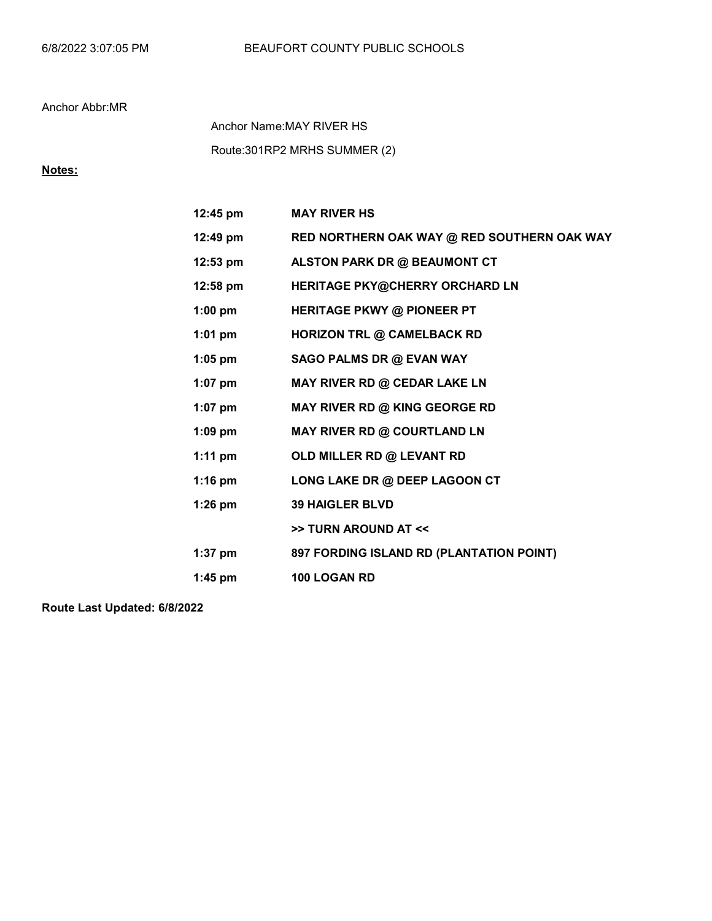### 6/8/2022 3:07:05 PM BEAUFORT COUNTY PUBLIC SCHOOLS

### Anchor Abbr:MR

Route:301RP2 MRHS SUMMER (2) Anchor Name:MAY RIVER HS

# Notes:

| $12:45 \text{ pm}$ | <b>MAY RIVER HS</b>                         |
|--------------------|---------------------------------------------|
| 12:49 pm           | RED NORTHERN OAK WAY @ RED SOUTHERN OAK WAY |
| $12:53 \text{ pm}$ | ALSTON PARK DR @ BEAUMONT CT                |
| 12:58 pm           | HERITAGE PKY@CHERRY ORCHARD LN              |
| $1:00$ pm          | <b>HERITAGE PKWY @ PIONEER PT</b>           |
| $1:01$ pm          | <b>HORIZON TRL @ CAMELBACK RD</b>           |
| $1:05$ pm          | SAGO PALMS DR @ EVAN WAY                    |
| $1:07$ pm          | MAY RIVER RD @ CEDAR LAKE LN                |
| $1:07$ pm          | MAY RIVER RD @ KING GEORGE RD               |
| $1:09$ pm          | MAY RIVER RD @ COURTLAND LN                 |
| $1:11$ pm          | OLD MILLER RD @ LEVANT RD                   |
| $1:16$ pm          | LONG LAKE DR @ DEEP LAGOON CT               |
| $1:26$ pm          | <b>39 HAIGLER BLVD</b>                      |
|                    | >> TURN AROUND AT <<                        |
| $1:37$ pm          | 897 FORDING ISLAND RD (PLANTATION POINT)    |
| $1:45$ pm          | 100 LOGAN RD                                |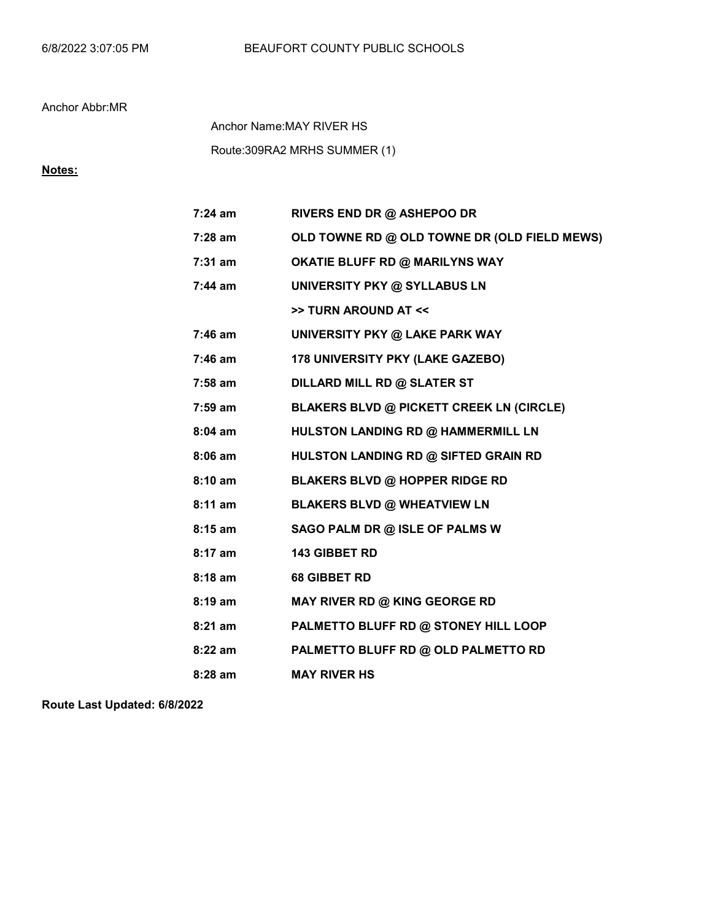Route:309RA2 MRHS SUMMER (1) Anchor Name:MAY RIVER HS

## Notes:

| $7:24$ am | RIVERS END DR @ ASHEPOO DR                      |
|-----------|-------------------------------------------------|
| 7:28 am   | OLD TOWNE RD @ OLD TOWNE DR (OLD FIELD MEWS)    |
| $7:31$ am | <b>OKATIE BLUFF RD @ MARILYNS WAY</b>           |
| 7:44 am   | <b>UNIVERSITY PKY @ SYLLABUS LN</b>             |
|           | >> TURN AROUND AT <<                            |
| $7:46$ am | UNIVERSITY PKY @ LAKE PARK WAY                  |
| 7:46 am   | 178 UNIVERSITY PKY (LAKE GAZEBO)                |
| 7:58 am   | DILLARD MILL RD @ SLATER ST                     |
| 7:59 am   | <b>BLAKERS BLVD @ PICKETT CREEK LN (CIRCLE)</b> |
| $8:04$ am | HULSTON LANDING RD @ HAMMERMILL LN              |
| $8:06$ am | HULSTON LANDING RD @ SIFTED GRAIN RD            |
| 8:10 am   | <b>BLAKERS BLVD @ HOPPER RIDGE RD</b>           |
| 8:11 am   | <b>BLAKERS BLVD @ WHEATVIEW LN</b>              |
| $8:15$ am | SAGO PALM DR @ ISLE OF PALMS W                  |
| 8:17 am   | 143 GIBBET RD                                   |
| 8:18 am   | <b>68 GIBBET RD</b>                             |
| $8:19$ am | MAY RIVER RD @ KING GEORGE RD                   |
| $8:21$ am | PALMETTO BLUFF RD @ STONEY HILL LOOP            |
| $8:22$ am | PALMETTO BLUFF RD @ OLD PALMETTO RD             |
| 8:28 am   | <b>MAY RIVER HS</b>                             |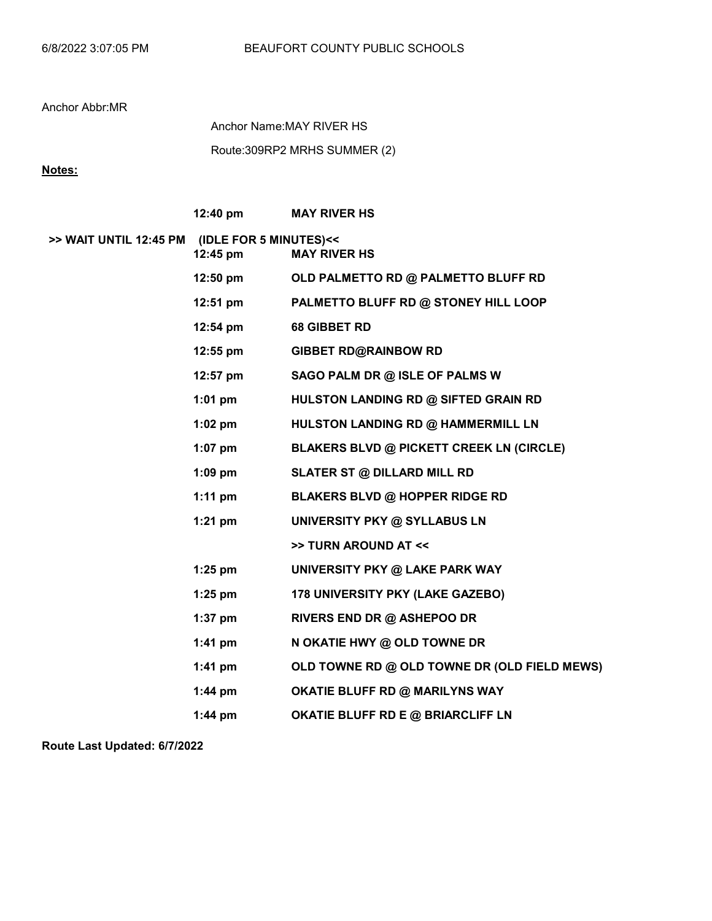Route:309RP2 MRHS SUMMER (2) Anchor Name:MAY RIVER HS

Notes:

|                                               | 12:40 pm           | <b>MAY RIVER HS</b>                             |
|-----------------------------------------------|--------------------|-------------------------------------------------|
| >> WAIT UNTIL 12:45 PM (IDLE FOR 5 MINUTES)<< | 12:45 pm           | <b>MAY RIVER HS</b>                             |
|                                               | $12:50$ pm         | OLD PALMETTO RD @ PALMETTO BLUFF RD             |
|                                               | $12:51$ pm         | PALMETTO BLUFF RD @ STONEY HILL LOOP            |
|                                               | $12:54 \text{ pm}$ | 68 GIBBET RD                                    |
|                                               | $12:55$ pm         | <b>GIBBET RD@RAINBOW RD</b>                     |
|                                               | 12:57 pm           | SAGO PALM DR @ ISLE OF PALMS W                  |
|                                               | $1:01$ pm          | HULSTON LANDING RD @ SIFTED GRAIN RD            |
|                                               | $1:02$ pm          | HULSTON LANDING RD @ HAMMERMILL LN              |
|                                               | $1:07$ pm          | <b>BLAKERS BLVD @ PICKETT CREEK LN (CIRCLE)</b> |
|                                               | $1:09$ pm          | <b>SLATER ST @ DILLARD MILL RD</b>              |
|                                               | $1:11$ pm          | <b>BLAKERS BLVD @ HOPPER RIDGE RD</b>           |
|                                               | $1:21$ pm          | UNIVERSITY PKY @ SYLLABUS LN                    |
|                                               |                    | >> TURN AROUND AT <<                            |
|                                               | $1:25$ pm          | UNIVERSITY PKY @ LAKE PARK WAY                  |
|                                               | $1:25$ pm          | <b>178 UNIVERSITY PKY (LAKE GAZEBO)</b>         |
|                                               | $1:37$ pm          | <b>RIVERS END DR @ ASHEPOO DR</b>               |
|                                               | $1:41$ pm          | N OKATIE HWY @ OLD TOWNE DR                     |
|                                               | $1:41$ pm          | OLD TOWNE RD @ OLD TOWNE DR (OLD FIELD MEWS)    |
|                                               | $1:44$ pm          | <b>OKATIE BLUFF RD @ MARILYNS WAY</b>           |
|                                               | $1:44$ pm          | <b>OKATIE BLUFF RD E @ BRIARCLIFF LN</b>        |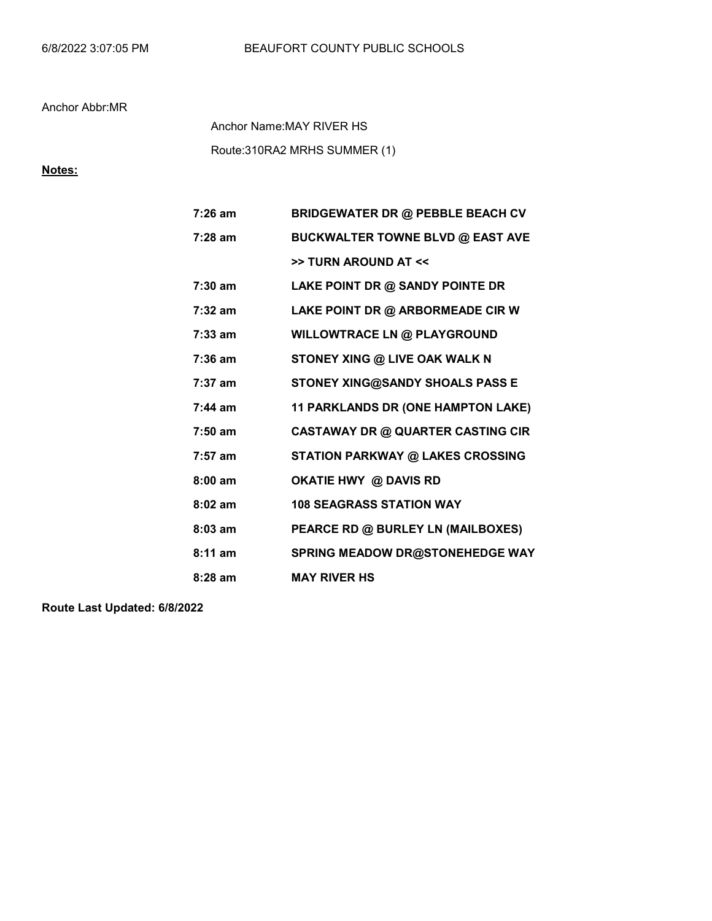Route:310RA2 MRHS SUMMER (1) Anchor Name:MAY RIVER HS

# Notes:

| $7:26$ am         | <b>BRIDGEWATER DR @ PEBBLE BEACH CV</b>  |
|-------------------|------------------------------------------|
| $7:28$ am         | <b>BUCKWALTER TOWNE BLVD @ EAST AVE</b>  |
|                   | >> TURN AROUND AT <<                     |
| $7:30 \text{ am}$ | LAKE POINT DR @ SANDY POINTE DR          |
| $7:32 \text{ am}$ | LAKE POINT DR @ ARBORMEADE CIR W         |
| $7:33$ am         | <b>WILLOWTRACE LN @ PLAYGROUND</b>       |
| $7:36$ am         | STONEY XING @ LIVE OAK WALK N            |
| $7:37$ am         | STONEY XING@SANDY SHOALS PASS E          |
| $7:44$ am         | 11 PARKLANDS DR (ONE HAMPTON LAKE)       |
| $7:50$ am         | <b>CASTAWAY DR @ QUARTER CASTING CIR</b> |
| $7:57$ am         | <b>STATION PARKWAY @ LAKES CROSSING</b>  |
| $8:00$ am         | OKATIE HWY @ DAVIS RD                    |
| $8:02$ am         | <b>108 SEAGRASS STATION WAY</b>          |
| $8:03$ am         | PEARCE RD @ BURLEY LN (MAILBOXES)        |
| $8:11$ am         | <b>SPRING MEADOW DR@STONEHEDGE WAY</b>   |
| $8:28$ am         | <b>MAY RIVER HS</b>                      |